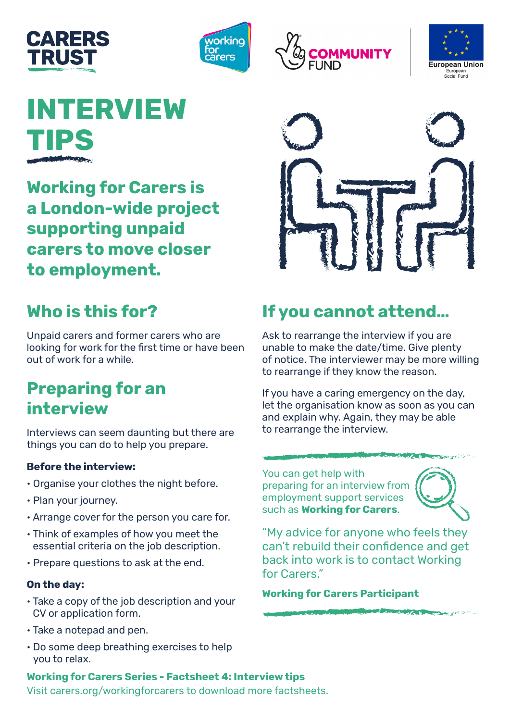







# **INTERVIEW TIPS**

**Working for Carers is a London-wide project supporting unpaid carers to move closer to employment.** 



## **Who is this for?**

Unpaid carers and former carers who are looking for work for the first time or have been out of work for a while.

### **Preparing for an interview**

Interviews can seem daunting but there are things you can do to help you prepare.

#### **Before the interview:**

- Organise your clothes the night before.
- Plan your journey.
- Arrange cover for the person you care for.
- Think of examples of how you meet the essential criteria on the job description.
- Prepare questions to ask at the end.

#### **On the day:**

- Take a copy of the job description and your CV or application form.
- Take a notepad and pen.
- Do some deep breathing exercises to help you to relax.

### **If you cannot attend…**

Ask to rearrange the interview if you are unable to make the date/time. Give plenty of notice. The interviewer may be more willing to rearrange if they know the reason.

If you have a caring emergency on the day, let the organisation know as soon as you can and explain why. Again, they may be able to rearrange the interview.

You can get help with preparing for an interview from employment support services such as **Working for Carers**.



**AMERICAN DE** 

"My advice for anyone who feels they can't rebuild their confidence and get back into work is to contact Working for Carers."

**Working for Carers Participant**

**Working for Carers Series - Factsheet 4: Interview tips**

Visit carers.org/workingforcarers to download more factsheets.